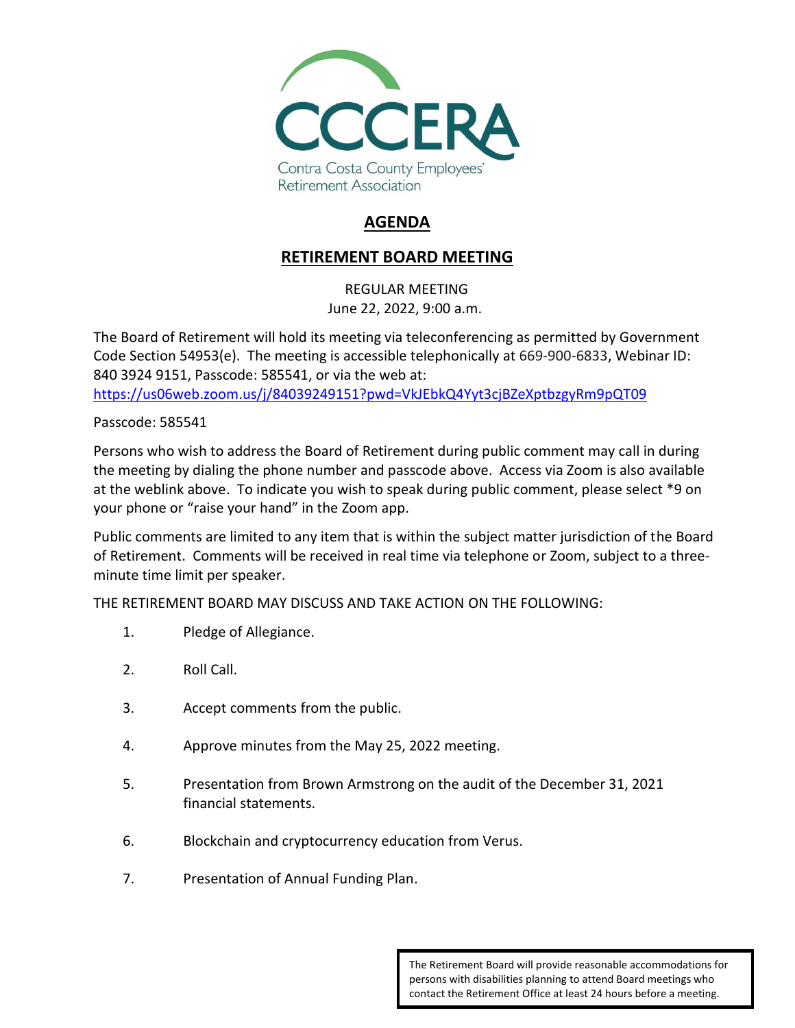

## **AGENDA**

## **RETIREMENT BOARD MEETING**

REGULAR MEETING June 22, 2022, 9:00 a.m.

The Board of Retirement will hold its meeting via teleconferencing as permitted by Government Code Section 54953(e). The meeting is accessible telephonically at 669-900-6833, Webinar ID: 840 3924 9151, Passcode: 585541, or via the web at:

<https://us06web.zoom.us/j/84039249151?pwd=VkJEbkQ4Yyt3cjBZeXptbzgyRm9pQT09>

Passcode: 585541

Persons who wish to address the Board of Retirement during public comment may call in during the meeting by dialing the phone number and passcode above. Access via Zoom is also available at the weblink above. To indicate you wish to speak during public comment, please select \*9 on your phone or "raise your hand" in the Zoom app.

Public comments are limited to any item that is within the subject matter jurisdiction of the Board of Retirement. Comments will be received in real time via telephone or Zoom, subject to a threeminute time limit per speaker.

THE RETIREMENT BOARD MAY DISCUSS AND TAKE ACTION ON THE FOLLOWING:

- 1. Pledge of Allegiance.
- 2. Roll Call.
- 3. Accept comments from the public.
- 4. Approve minutes from the May 25, 2022 meeting.
- 5. Presentation from Brown Armstrong on the audit of the December 31, 2021 financial statements.
- 6. Blockchain and cryptocurrency education from Verus.
- 7. Presentation of Annual Funding Plan.

The Retirement Board will provide reasonable accommodations for persons with disabilities planning to attend Board meetings who contact the Retirement Office at least 24 hours before a meeting.